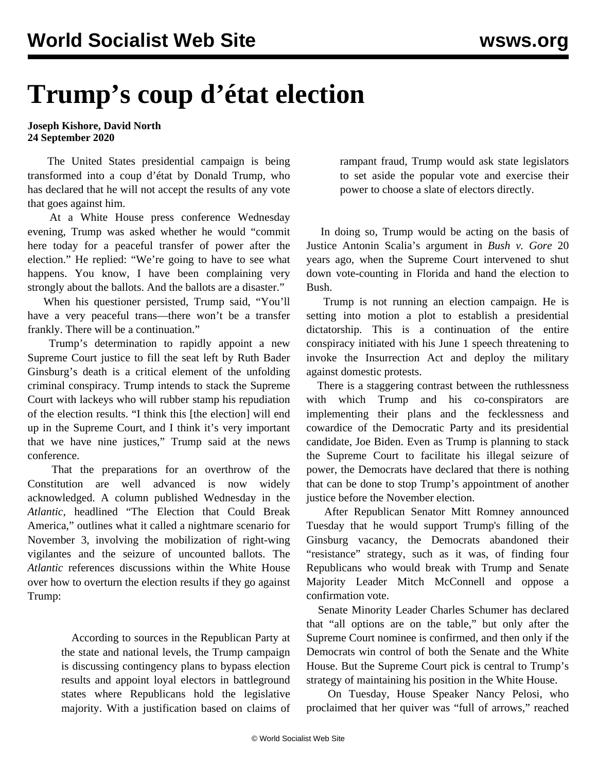## **Trump's coup d'état election**

## **Joseph Kishore, David North 24 September 2020**

 The United States presidential campaign is being transformed into a coup d'état by Donald Trump, who has declared that he will not accept the results of any vote that goes against him.

 At a White House press conference Wednesday evening, Trump was asked whether he would "commit here today for a peaceful transfer of power after the election." He replied: "We're going to have to see what happens. You know, I have been complaining very strongly about the ballots. And the ballots are a disaster."

 When his questioner persisted, Trump said, "You'll have a very peaceful trans—there won't be a transfer frankly. There will be a continuation."

 Trump's determination to rapidly appoint a new Supreme Court justice to fill the seat left by Ruth Bader Ginsburg's death is a critical element of the unfolding criminal conspiracy. Trump intends to stack the Supreme Court with lackeys who will rubber stamp his repudiation of the election results. "I think this [the election] will end up in the Supreme Court, and I think it's very important that we have nine justices," Trump said at the news conference.

 That the preparations for an overthrow of the Constitution are well advanced is now widely acknowledged. A column published Wednesday in the *Atlantic,* headlined "The Election that Could Break America," outlines what it called a nightmare scenario for November 3, involving the mobilization of right-wing vigilantes and the seizure of uncounted ballots. The *Atlantic* references discussions within the White House over how to overturn the election results if they go against Trump:

> According to sources in the Republican Party at the state and national levels, the Trump campaign is discussing contingency plans to bypass election results and appoint loyal electors in battleground states where Republicans hold the legislative majority. With a justification based on claims of

rampant fraud, Trump would ask state legislators to set aside the popular vote and exercise their power to choose a slate of electors directly.

 In doing so, Trump would be acting on the basis of Justice Antonin Scalia's argument in *Bush v. Gore* 20 years ago, when the Supreme Court intervened to shut down vote-counting in Florida and hand the election to Bush.

 Trump is not running an election campaign. He is setting into motion a plot to establish a presidential dictatorship. This is a continuation of the entire conspiracy initiated with his [June 1 speech](/en/articles/2020/06/02/pers-j02.html) threatening to invoke the Insurrection Act and deploy the military against domestic protests.

 There is a staggering contrast between the ruthlessness with which Trump and his co-conspirators are implementing their plans and the fecklessness and cowardice of the Democratic Party and its presidential candidate, Joe Biden. Even as Trump is planning to stack the Supreme Court to facilitate his illegal seizure of power, the Democrats have declared that there is nothing that can be done to stop Trump's appointment of another justice before the November election.

 After Republican Senator Mitt Romney announced Tuesday that he would support Trump's filling of the Ginsburg vacancy, the Democrats abandoned their "resistance" strategy, such as it was, of finding four Republicans who would break with Trump and Senate Majority Leader Mitch McConnell and oppose a confirmation vote.

 Senate Minority Leader Charles Schumer has declared that "all options are on the table," but only after the Supreme Court nominee is confirmed, and then only if the Democrats win control of both the Senate and the White House. But the Supreme Court pick is central to Trump's strategy of maintaining his position in the White House.

 On Tuesday, House Speaker Nancy Pelosi, who proclaimed that her quiver was "full of arrows," reached